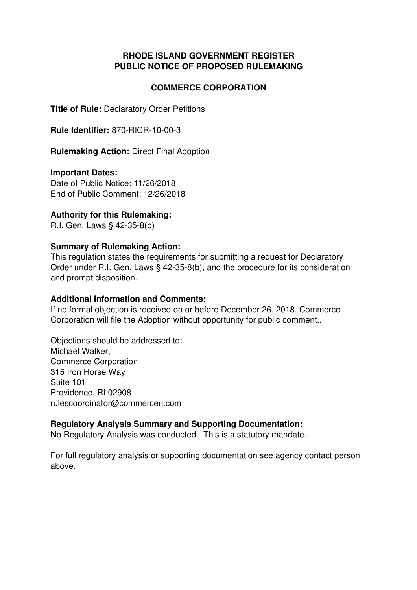## **RHODE ISLAND GOVERNMENT REGISTER PUBLIC NOTICE OF PROPOSED RULEMAKING**

## **COMMERCE CORPORATION**

**Title of Rule:** Declaratory Order Petitions

**Rule Identifier:** 870-RICR-10-00-3

**Rulemaking Action:** Direct Final Adoption

### **Important Dates:**

Date of Public Notice: 11/26/2018 End of Public Comment: 12/26/2018

### **Authority for this Rulemaking:**

R.I. Gen. Laws § 42-35-8(b)

### **Summary of Rulemaking Action:**

This regulation states the requirements for submitting a request for Declaratory Order under R.I. Gen. Laws § 42-35-8(b), and the procedure for its consideration and prompt disposition.

#### **Additional Information and Comments:**

If no formal objection is received on or before December 26, 2018, Commerce Corporation will file the Adoption without opportunity for public comment..

Objections should be addressed to: Michael Walker, Commerce Corporation 315 Iron Horse Way Suite 101 Providence, RI 02908 rulescoordinator@commerceri.com

### **Regulatory Analysis Summary and Supporting Documentation:**

No Regulatory Analysis was conducted. This is a statutory mandate.

For full regulatory analysis or supporting documentation see agency contact person above.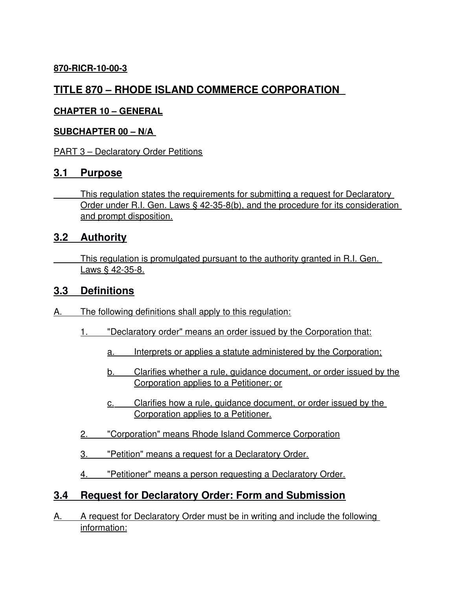## **870-RICR-10-00-3**

# **TITLE 870 – RHODE ISLAND COMMERCE CORPORATION**

## **CHAPTER 10 – GENERAL**

### **SUBCHAPTER 00 – N/A**

PART 3 – Declaratory Order Petitions

## **3.1 Purpose**

 This regulation states the requirements for submitting a request for Declaratory Order under R.I. Gen. Laws § 42-35-8(b), and the procedure for its consideration and prompt disposition.

## **3.2 Authority**

 This regulation is promulgated pursuant to the authority granted in R.I. Gen. Laws § 42-35-8.

# **3.3 Definitions**

- A. The following definitions shall apply to this regulation:
	- 1. "Declaratory order" means an order issued by the Corporation that:
		- a. Interprets or applies a statute administered by the Corporation;
		- b. Clarifies whether a rule, guidance document, or order issued by the Corporation applies to a Petitioner; or
		- c. Clarifies how a rule, guidance document, or order issued by the Corporation applies to a Petitioner.
	- 2. "Corporation" means Rhode Island Commerce Corporation
	- 3. "Petition" means a request for a Declaratory Order.
	- 4. "Petitioner" means a person requesting a Declaratory Order.

# **3.4 Request for Declaratory Order: Form and Submission**

A. A request for Declaratory Order must be in writing and include the following information: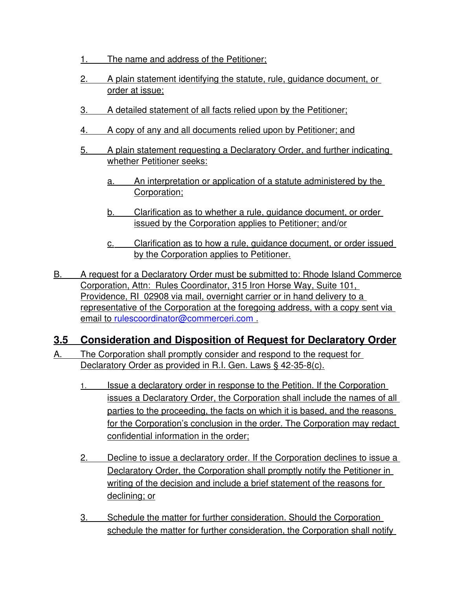- 1. The name and address of the Petitioner;
- 2. A plain statement identifying the statute, rule, guidance document, or order at issue;
- 3. A detailed statement of all facts relied upon by the Petitioner;
- 4. A copy of any and all documents relied upon by Petitioner; and
- 5. A plain statement requesting a Declaratory Order, and further indicating whether Petitioner seeks:
	- a. An interpretation or application of a statute administered by the Corporation;
	- b. Clarification as to whether a rule, guidance document, or order issued by the Corporation applies to Petitioner; and/or
	- c. Clarification as to how a rule, guidance document, or order issued by the Corporation applies to Petitioner.
- B. A request for a Declaratory Order must be submitted to: Rhode Island Commerce Corporation, Attn: Rules Coordinator, 315 Iron Horse Way, Suite 101, Providence, RI 02908 via mail, overnight carrier or in hand delivery to a representative of the Corporation at the foregoing address, with a copy sent via email to [rulescoordinator@commerceri.com](mailto:rulescoordinator@commerceri.com) .

# **3.5 Consideration and Disposition of Request for Declaratory Order**

- A. The Corporation shall promptly consider and respond to the request for Declaratory Order as provided in R.I. Gen. Laws § 42-35-8(c).
	- 1. Issue a declaratory order in response to the Petition. If the Corporation issues a Declaratory Order, the Corporation shall include the names of all parties to the proceeding, the facts on which it is based, and the reasons for the Corporation's conclusion in the order. The Corporation may redact confidential information in the order;
	- 2. Decline to issue a declaratory order. If the Corporation declines to issue a Declaratory Order, the Corporation shall promptly notify the Petitioner in writing of the decision and include a brief statement of the reasons for declining; or
	- 3. Schedule the matter for further consideration. Should the Corporation schedule the matter for further consideration, the Corporation shall notify